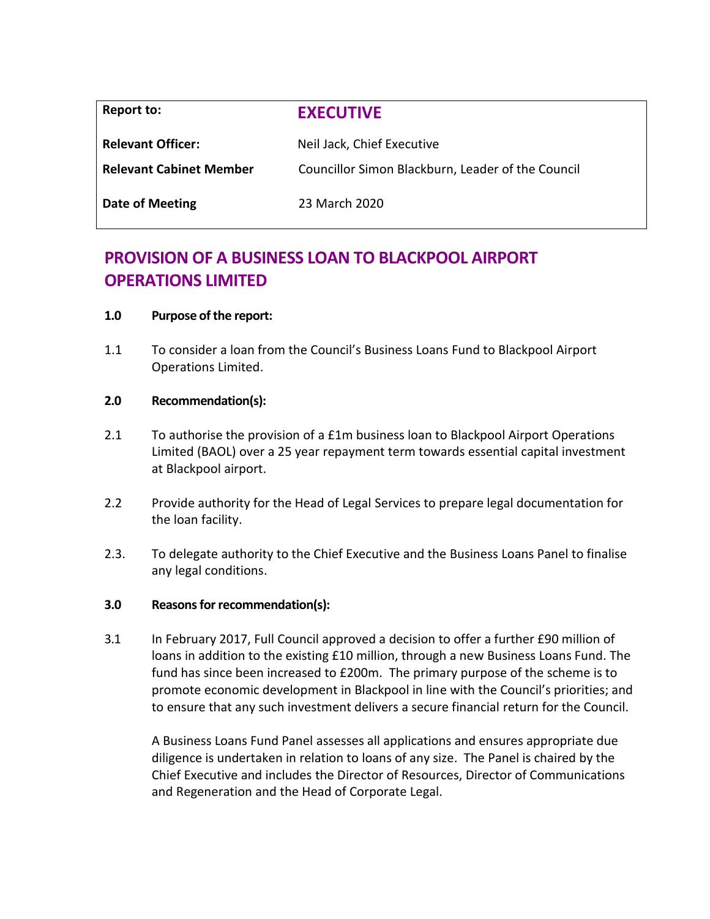| Report to:                     | <b>EXECUTIVE</b>                                  |  |
|--------------------------------|---------------------------------------------------|--|
| <b>Relevant Officer:</b>       | Neil Jack, Chief Executive                        |  |
| <b>Relevant Cabinet Member</b> | Councillor Simon Blackburn, Leader of the Council |  |
| <b>Date of Meeting</b>         | 23 March 2020                                     |  |

# **PROVISION OF A BUSINESS LOAN TO BLACKPOOL AIRPORT OPERATIONS LIMITED**

# **1.0 Purpose of the report:**

1.1 To consider a loan from the Council's Business Loans Fund to Blackpool Airport Operations Limited.

#### **2.0 Recommendation(s):**

- 2.1 To authorise the provision of a £1m business loan to Blackpool Airport Operations Limited (BAOL) over a 25 year repayment term towards essential capital investment at Blackpool airport.
- 2.2 Provide authority for the Head of Legal Services to prepare legal documentation for the loan facility.
- 2.3. To delegate authority to the Chief Executive and the Business Loans Panel to finalise any legal conditions.

# **3.0 Reasons for recommendation(s):**

3.1 In February 2017, Full Council approved a decision to offer a further £90 million of loans in addition to the existing £10 million, through a new Business Loans Fund. The fund has since been increased to £200m. The primary purpose of the scheme is to promote economic development in Blackpool in line with the Council's priorities; and to ensure that any such investment delivers a secure financial return for the Council.

A Business Loans Fund Panel assesses all applications and ensures appropriate due diligence is undertaken in relation to loans of any size. The Panel is chaired by the Chief Executive and includes the Director of Resources, Director of Communications and Regeneration and the Head of Corporate Legal.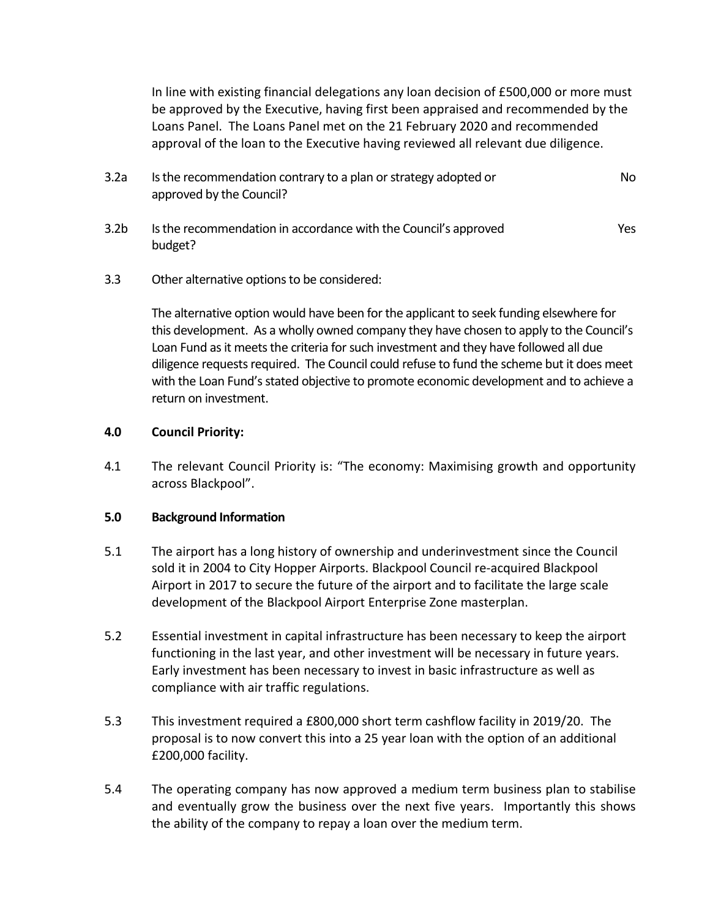In line with existing financial delegations any loan decision of £500,000 or more must be approved by the Executive, having first been appraised and recommended by the Loans Panel. The Loans Panel met on the 21 February 2020 and recommended approval of the loan to the Executive having reviewed all relevant due diligence.

- 3.2a Is the recommendation contrary to a plan or strategy adopted or approved by the Council? No
- 3.2b Isthe recommendation in accordance with the Council's approved budget? Yes
- 3.3 Other alternative options to be considered:

The alternative option would have been for the applicant to seek funding elsewhere for this development. As a wholly owned company they have chosen to apply to the Council's Loan Fund as it meets the criteria for such investment and they have followed all due diligence requests required. The Council could refuse to fund the scheme but it does meet with the Loan Fund's stated objective to promote economic development and to achieve a return on investment.

# **4.0 Council Priority:**

4.1 The relevant Council Priority is: "The economy: Maximising growth and opportunity across Blackpool".

# **5.0 Background Information**

- 5.1 The airport has a long history of ownership and underinvestment since the Council sold it in 2004 to City Hopper Airports. Blackpool Council re-acquired Blackpool Airport in 2017 to secure the future of the airport and to facilitate the large scale development of the Blackpool Airport Enterprise Zone masterplan.
- 5.2 Essential investment in capital infrastructure has been necessary to keep the airport functioning in the last year, and other investment will be necessary in future years. Early investment has been necessary to invest in basic infrastructure as well as compliance with air traffic regulations.
- 5.3 This investment required a £800,000 short term cashflow facility in 2019/20. The proposal is to now convert this into a 25 year loan with the option of an additional £200,000 facility.
- 5.4 The operating company has now approved a medium term business plan to stabilise and eventually grow the business over the next five years. Importantly this shows the ability of the company to repay a loan over the medium term.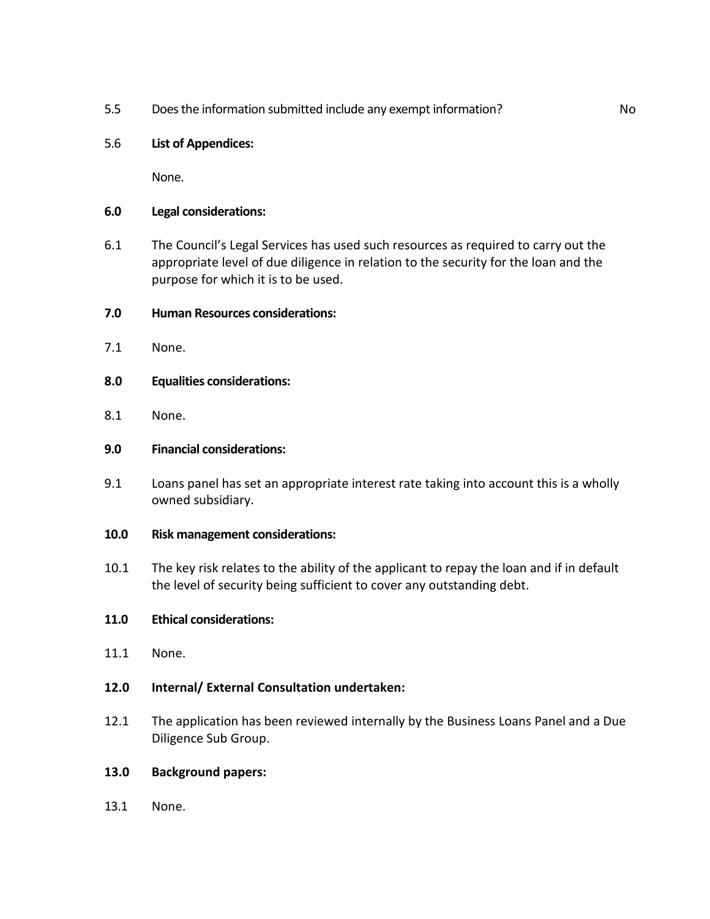5.5 Does the information submitted include any exempt information? No

# 5.6 **List of Appendices:**

None.

#### **6.0 Legal considerations:**

6.1 The Council's Legal Services has used such resources as required to carry out the appropriate level of due diligence in relation to the security for the loan and the purpose for which it is to be used.

#### **7.0 Human Resources considerations:**

- 7.1 None.
- **8.0 Equalities considerations:**
- 8.1 None.

# **9.0 Financial considerations:**

- 9.1 Loans panel has set an appropriate interest rate taking into account this is a wholly owned subsidiary.
- **10.0 Risk management considerations:**
- 10.1 The key risk relates to the ability of the applicant to repay the loan and if in default the level of security being sufficient to cover any outstanding debt.

# **11.0 Ethical considerations:**

- 11.1 None.
- **12.0 Internal/ External Consultation undertaken:**
- 12.1 The application has been reviewed internally by the Business Loans Panel and a Due Diligence Sub Group.

#### **13.0 Background papers:**

13.1 None.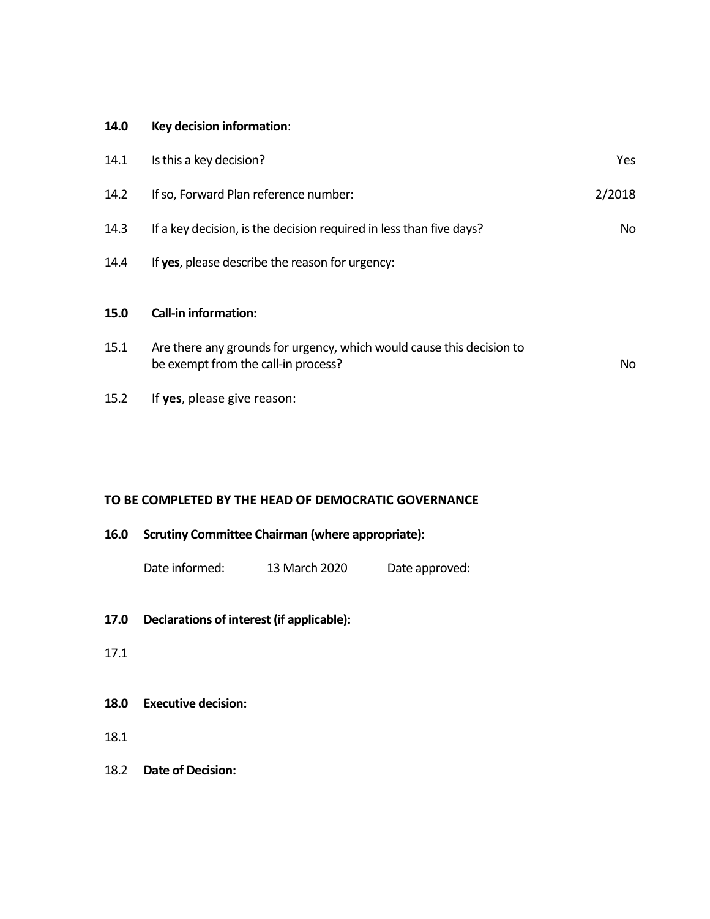#### **14.0 Key decision information**:

| 14.1 | Is this a key decision?                                                                                      | Yes    |
|------|--------------------------------------------------------------------------------------------------------------|--------|
| 14.2 | If so, Forward Plan reference number:                                                                        | 2/2018 |
| 14.3 | If a key decision, is the decision required in less than five days?                                          | No     |
| 14.4 | If yes, please describe the reason for urgency:                                                              |        |
|      |                                                                                                              |        |
| 15.0 | <b>Call-in information:</b>                                                                                  |        |
| 15.1 | Are there any grounds for urgency, which would cause this decision to<br>be exempt from the call-in process? | No.    |
| 15.2 | If yes, please give reason:                                                                                  |        |

# **TO BE COMPLETED BY THE HEAD OF DEMOCRATIC GOVERNANCE**

| 16.0 | <b>Scrutiny Committee Chairman (where appropriate):</b> |               |                |  |
|------|---------------------------------------------------------|---------------|----------------|--|
|      | Date informed:                                          | 13 March 2020 | Date approved: |  |

- **17.0 Declarations of interest (if applicable):**
- 17.1
- **18.0 Executive decision:**
- 18.1
- 18.2 **Date of Decision:**